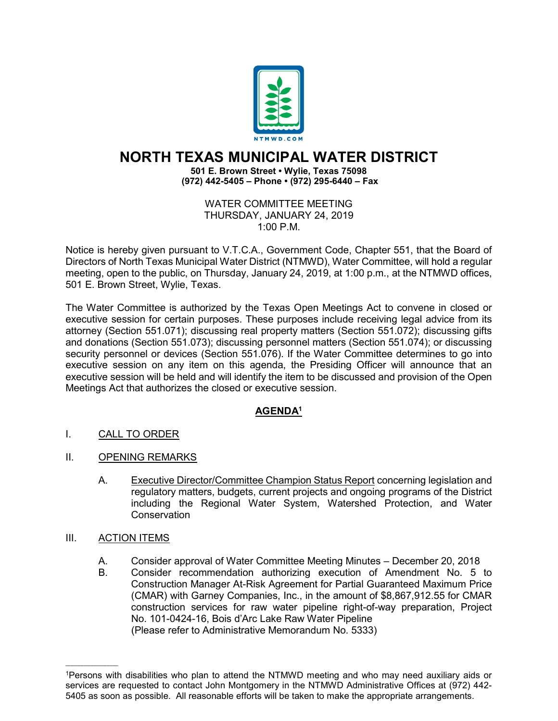

## **NORTH TEXAS MUNICIPAL WATER DISTRICT**

**501 E. Brown Street • Wylie, Texas 75098 (972) 442-5405 – Phone • (972) 295-6440 – Fax**

> WATER COMMITTEE MEETING THURSDAY, JANUARY 24, 2019 1:00 P.M.

Notice is hereby given pursuant to V.T.C.A., Government Code, Chapter 551, that the Board of Directors of North Texas Municipal Water District (NTMWD), Water Committee, will hold a regular meeting, open to the public, on Thursday, January 24, 2019, at 1:00 p.m., at the NTMWD offices, 501 E. Brown Street, Wylie, Texas.

The Water Committee is authorized by the Texas Open Meetings Act to convene in closed or executive session for certain purposes. These purposes include receiving legal advice from its attorney (Section 551.071); discussing real property matters (Section 551.072); discussing gifts and donations (Section 551.073); discussing personnel matters (Section 551.074); or discussing security personnel or devices (Section 551.076). If the Water Committee determines to go into executive session on any item on this agenda, the Presiding Officer will announce that an executive session will be held and will identify the item to be discussed and provision of the Open Meetings Act that authorizes the closed or executive session.

## **AGENDA1**

- I. CALL TO ORDER
- II. OPENING REMARKS
	- A. Executive Director/Committee Champion Status Report concerning legislation and regulatory matters, budgets, current projects and ongoing programs of the District including the Regional Water System, Watershed Protection, and Water Conservation
- III. ACTION ITEMS

 $\overline{\phantom{a}}$  , where  $\overline{\phantom{a}}$ 

- A. Consider approval of Water Committee Meeting Minutes December 20, 2018
- B. Consider recommendation authorizing execution of Amendment No. 5 to Construction Manager At-Risk Agreement for Partial Guaranteed Maximum Price (CMAR) with Garney Companies, Inc., in the amount of \$8,867,912.55 for CMAR construction services for raw water pipeline right-of-way preparation, Project No. 101-0424-16, Bois d'Arc Lake Raw Water Pipeline (Please refer to Administrative Memorandum No. 5333)

<sup>1</sup>Persons with disabilities who plan to attend the NTMWD meeting and who may need auxiliary aids or services are requested to contact John Montgomery in the NTMWD Administrative Offices at (972) 442- 5405 as soon as possible. All reasonable efforts will be taken to make the appropriate arrangements.